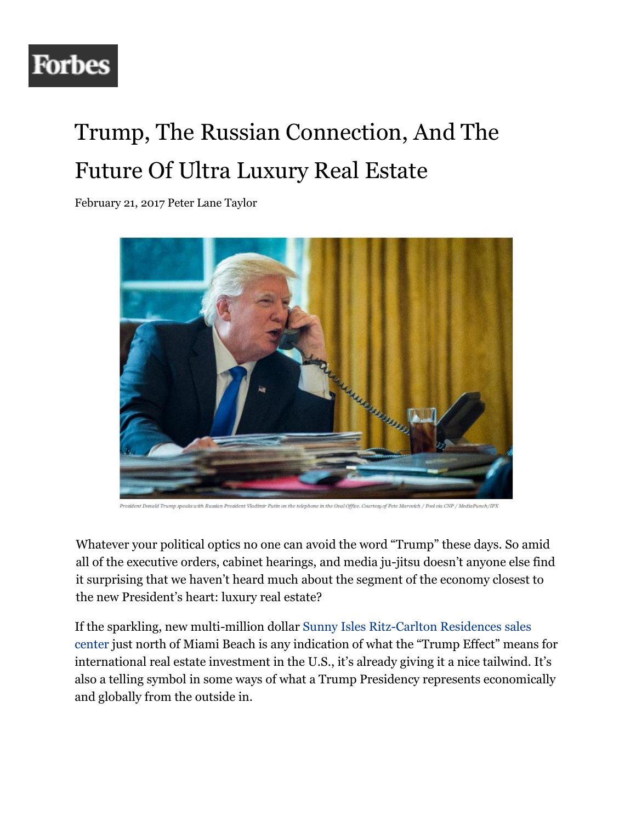

## Trump, The Russian Connection, And The Future Of Ultra Luxury Real Estate

February 21, 2017 Peter Lane Taylor



President Donald Trump speaks with Russian President Vladimir Putin on the telephone in the Oval Office. Courtesy of Pete Marovich / Pool via CNP / MediaPunch/IPX

Whatever your political optics no one can avoid the word "Trump" these days. So amid all of the executive orders, cabinet hearings, and media ju-jitsu doesn't anyone else find it surprising that we haven't heard much [about the segment of the economy closest to](http://theresidencessunnyislesbeach.com/?gclid=CMrLtdnPodICFVRXDQodmIQOdA) [the new](http://theresidencessunnyislesbeach.com/?gclid=CMrLtdnPodICFVRXDQodmIQOdA) President's heart: luxury real estate?

If the sparkling, new multi-million dollar Sunny Isles Ritz-Carlton Residences sales center just north of Miami Beach is any indication of what the "Trump Effect" means for international real estate investment in the U.S., it's already giving it a nice tailwind. It's also a telling symbol in some ways of what a Trump Presidency represents economically and globally from the outside in.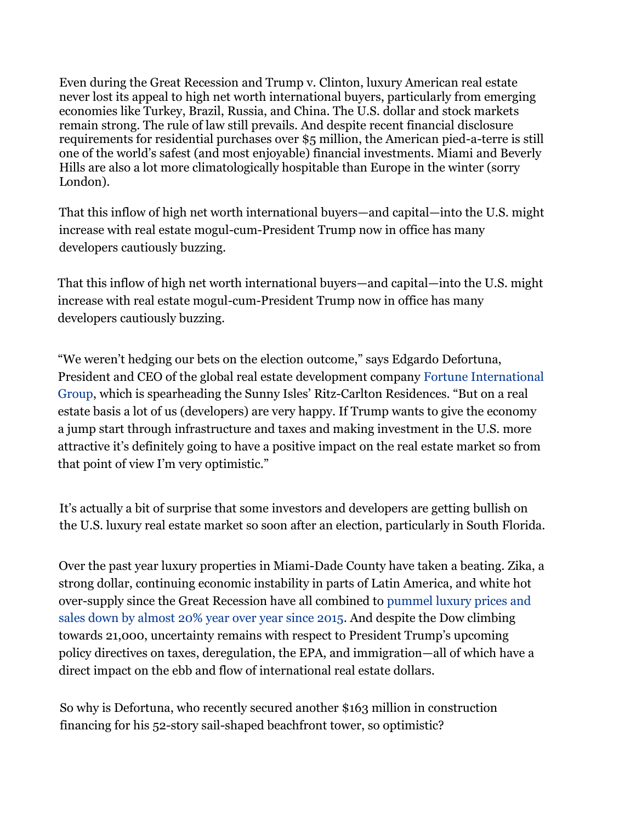Even during the Great Recession and Trump v. Clinton, luxury American real estate never lost its appeal to high net worth international buyers, particularly from emerging economies like Turkey, Brazil, Russia, and China. The U.S. dollar and stock markets remain strong. The rule of law still prevails. And despite recent financial disclosure requirements for residential purchases over \$5 million, the American pied-a-terre is still one of the world's safest (and most enjoyable) financial investments. Miami and Beverly Hills are also a lot more climatologically hospitable than Europe in the winter (sorry London).

That this inflow of high net worth international buyers—and capital—into the U.S. might increase with real estate mogul-cum-President Trump now in office has many developers cautiously buzzing.

That this inflow of high net worth international buyers—and capital—into the U.S. might increase with real estate mogul-cum-President Trump now in office has many developers cautiously buzzing.

"We weren't hedging our bets on the election outcome," says Edgardo Defortuna, President and CEO of the global real estate development company Fortune International Group, which is spearheading the Sunny Isles' Ritz-Carlton Residences. "But on a real estate basis a lot of us (developers) are very happy. If Trump wants to give the economy a jump start through infrastructure and taxes and making investment in the U.S. more attractive it's definitely going to have a positive impact on the real estate market so from that point of view I'm very optimistic."

It's actually a bit of surprise that some investors and developers are getting bullish on the U.S. luxury real estate market so soon after an election, particularly in South Florida.

Over the past year luxury properties in Miami-Dade County have taken a beating. Zika, a strong dollar, continuing economic instability in parts of Latin America, and white hot over-supply since the Great Recession have all combined to pummel luxury prices and sales down by almost 20% year over year since 2015. And despite the Dow climbing towards 21,000, uncertainty remains with respect to President Trump's upcoming policy directives on taxes, deregulation, the EPA, and immigration—all of which have a direct impact on the ebb and flow of international real estate dollars.

So why is Defortuna, who recently secured another \$163 million in construction financing for his 52-story sail-shaped beachfront tower, so optimistic?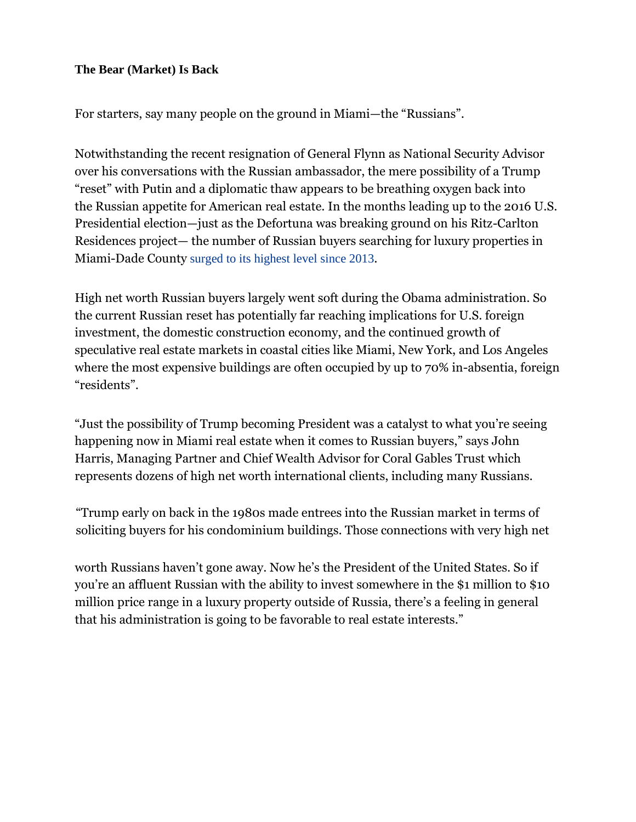## **The Bear (Market) Is Back**

For starters, say many people on the ground in Miami—the "Russians".

Notwithstanding the recent resignation of General Flynn as National Security Advisor over his conversations with the Russian ambassador, the mere possibility of a Trump "reset" with Putin and a diplomatic thaw appears to be breathing oxygen back into the Russian appetite for American real estate. In the months leading up to the 2016 U.S. Presidential election—just as the Defortuna was breaking ground on his Ritz-Carlton Residences project— the number of Russian buyers searching for luxury properties in Miami-Dade County surged to its highest level since 2013.

High net worth Russian buyers largely went soft during the Obama administration. So the current Russian reset has potentially far reaching implications for U.S. foreign investment, the domestic construction economy, and the continued growth of speculative real estate markets in coastal cities like Miami, New York, and Los Angeles where the most expensive buildings are often occupied by up to 70% in-absentia, foreign "residents".

"Just the possibility of Trump becoming President was a catalyst to what you're seeing happening now in Miami real estate when it comes to Russian buyers," says John Harris, Managing Partner and Chief Wealth Advisor for Coral Gables Trust which represents dozens of high net worth international clients, including many Russians.

"Trump early on back in the 1980s made entrees into the Russian market in terms of soliciting buyers for [his condominium buildings. Those](https://therealdeal.com/miami/2017/02/10/south-florida-by-the-numbers-miami-russia-real-estate-connection/) connections with very high net

worth Russians haven't gone away. Now he's the President of the United States. So if you're an affluent Russian with the ability to invest somewhere in the \$1 million to \$10 million price range in a luxury property outside of Russia, there's a feeling in general that his administration is going to be favorable to real estate interests."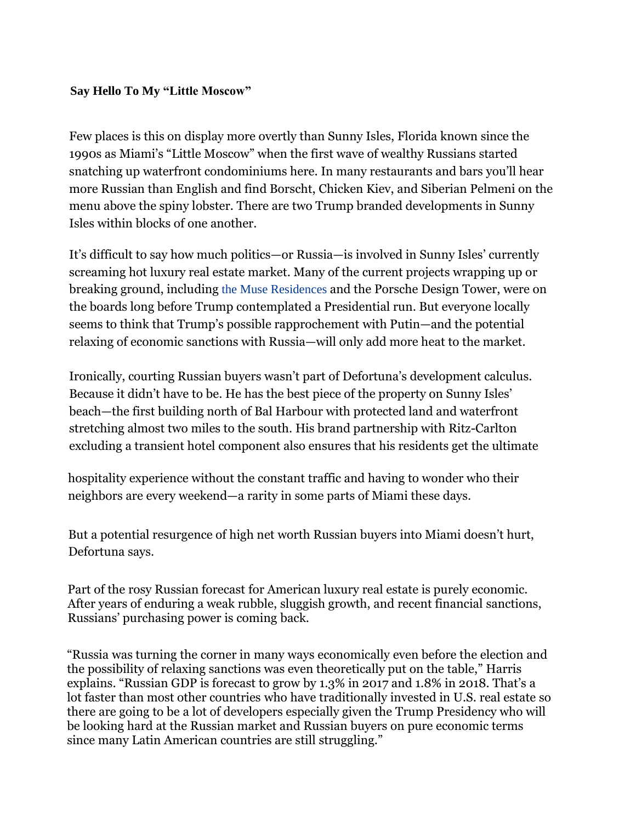## **Say Hello To My "Little Moscow"**

Few places is this on display more overtly than Sunny Isles, Florida known since the 1990s as Miami's "Little Moscow" when the first wave of wealthy Russians started snatching up waterfront condominiums here. In many restaurants and bars you'll hear more Russian than English and find Borscht, Chicken Kiev, and Siberian Pelmeni on the menu above the spiny lobster. There are two Trump branded developments in Sunny Isles within blocks of one another.

It's difficult to say how much politics—or Russia—is involved in Sunny Isles' currently screaming hot luxury real estate market. Many of the current projects wrapping up or breaking ground, including the Muse Residences and the Porsche Design Tower, were on the boards long before Trump contemplated a Presidential run. But everyone locally seems to think that Trump's possible rapprochement with Putin—and the potential relaxing of economic sanctions with Russia—will only add more heat to the market.

Ironically, courting Russian buyers wasn't part of Defortuna's development calculus. Because it didn't have to be. He has the best piece of the property on Sunny Isles' beach—the first building north of Bal Harbour with protected land and waterfront stretching almost two miles to the south. His brand partnership with Ritz-Carlton excluding a transient hotel component also ensures that his residents get the ultimate

hospitality experience without the constant traffic and having to wonder who their neighbors are every weekend—a rarity in some parts of Miami these days.

But a potential resurgence of high net worth Russian buyers into Miami doesn't hurt, Defortuna says.

Part of the rosy Russian forecast for American luxury real estate is purely economic. After years of enduring a weak rubble, sluggish growth, and recent financial sanctions, Russians' purchasing power [is coming back.](https://www.forbes.com/sites/petertaylor/2017/01/29/celebrity-wellness-guru-deepak-chopra-wants-to-change-your-life-with-million-dollar-luxury-condos/#71955d7d672a) 

"Russia was turning the corner in many ways economically even before the election and the possibility of relaxing sanctions was even theoretically put on the table," Harris explains. "Russian GDP is forecast to grow by 1.3% in 2017 and 1.8% in 2018. That's a lot faster than most other countries who have traditionally invested in U.S. real estate so there are going to be a lot of developers especially given the Trump Presidency who will be looking hard at the Russian market and Russian buyers on pure economic terms since many Latin American countries are still struggling."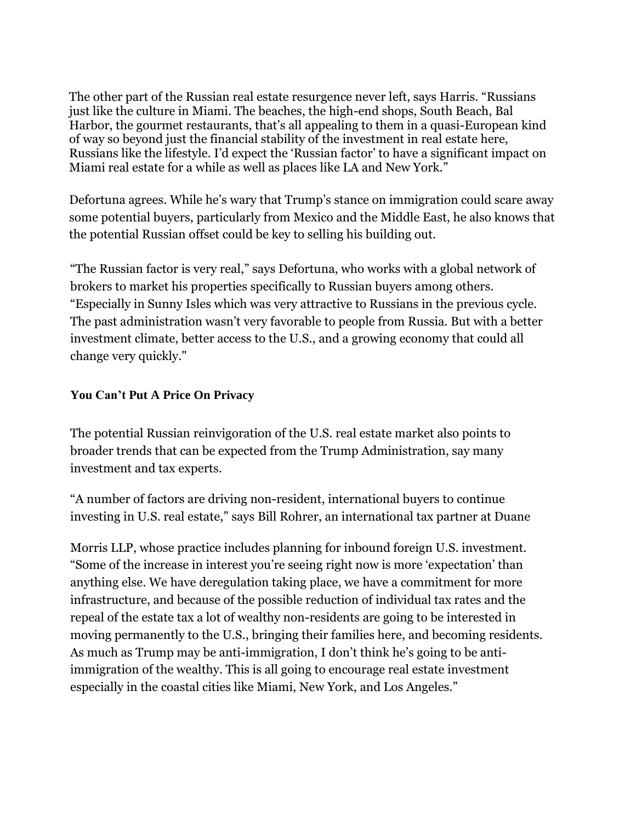The other part of the Russian real estate resurgence never left, says Harris. "Russians just like the culture in Miami. The beaches, the high-end shops, South Beach, Bal Harbor, the gourmet restaurants, that's all appealing to them in a quasi-European kind of way so beyond just the financial stability of the investment in real estate here, Russians like the lifestyle. I'd expect the 'Russian factor' to have a significant impact on Miami real estate for a while as well as places like LA and New York."

Defortuna agrees. While he's wary that Trump's stance on immigration could scare away some potential buyers, particularly from Mexico and the Middle East, he also knows that the potential Russian offset could be key to selling his building out.

"The Russian factor is very real," says Defortuna, who works with a global network of brokers to market his properties specifically to Russian buyers among others. "Especially in Sunny Isles which was very attractive to Russians in the previous cycle. The past administration wasn't very favorable to people from Russia. But with a better investment climate, better access to the U.S., and a growing economy that could all change very quickly."

## **You Can't Put A Price On Privacy**

The potential Russian reinvigoration of the U.S. real estate market also points to broader trends that can be expected from the Trump Administration, say many investment and tax experts.

"A number of factors are driving non-resident, international buyers to continue investing in U.S. real estate," says Bill Rohrer, an international tax partner at Duane

Morris LLP, whose practice includes planning for inbound foreign U.S. investment. "Some of the increase in interest you're seeing right now is more 'expectation' than anything else. We have deregulation taking place, we have a commitment for more infrastructure, and because of the possible reduction of individual tax rates and the repeal of the estate tax a lot of wealthy non-residents are going to be interested in moving permanently to the U.S., bringing their families here, and becoming residents. As much as Trump may be anti-immigration, I don't think he's going to be antiimmigration of the wealthy. This is all going to encourage real estate investment especially in the coastal cities like Miami, New York, and Los Angeles."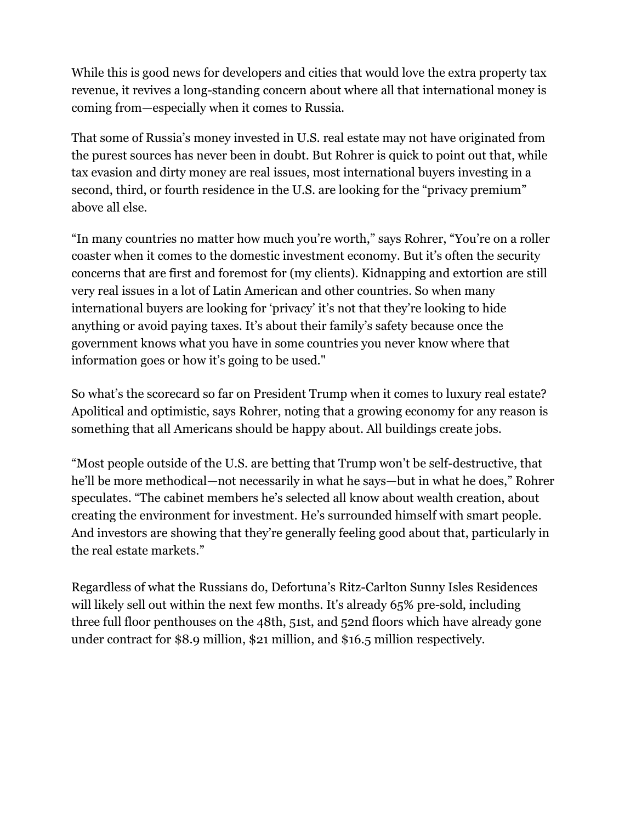While this is good news for developers and cities that would love the extra property tax revenue, it revives a long-standing concern about where all that international money is coming from—especially when it comes to Russia.

That some of Russia's money invested in U.S. real estate may not have originated from the purest sources has never been in doubt. But Rohrer is quick to point out that, while tax evasion and dirty money are real issues, most international buyers investing in a second, third, or fourth residence in the U.S. are looking for the "privacy premium" above all else.

"In many countries no matter how much you're worth," says Rohrer, "You're on a roller coaster when it comes to the domestic investment economy. But it's often the security concerns that are first and foremost for (my clients). Kidnapping and extortion are still very real issues in a lot of Latin American and other countries. So when many international buyers are looking for 'privacy' it's not that they're looking to hide anything or avoid paying taxes. It's about their family's safety because once the government knows what you have in some countries you never know where that information goes or how it's going to be used."

So what's the scorecard so far on President Trump when it comes to luxury real estate? Apolitical and optimistic, says Rohrer, noting that a growing economy for any reason is something that all Americans should be happy about. All buildings create jobs.

"Most people outside of the U.S. are betting that Trump won't be self-destructive, that he'll be more methodical—not necessarily in what he says—but in what he does," Rohrer speculates. "The cabinet members he's selected all know about wealth creation, about creating the environment for investment. He's surrounded himself with smart people. And investors are showing that they're generally feeling good about that, particularly in the real estate markets."

Regardless of what the Russians do, Defortuna's Ritz-Carlton Sunny Isles Residences will likely sell out within the next few months. It's already 65% pre-sold, including three full floor penthouses on the 48th, 51st, and 52nd floors which have already gone under contract for \$8.9 million, \$21 million, and \$16.5 million respectively.